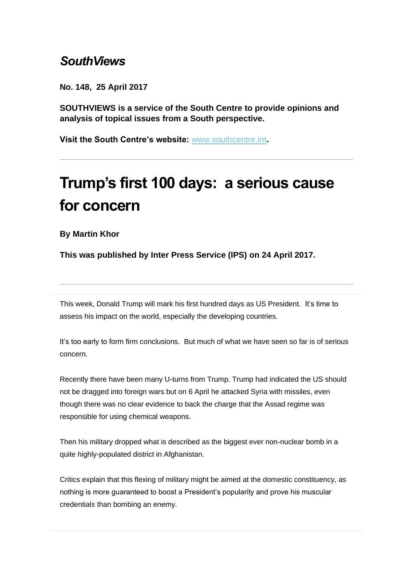## *SouthViews*

**No. 148, 25 April 2017**

**SOUTHVIEWS is a service of the South Centre to provide opinions and analysis of topical issues from a South perspective.**

**Visit the South Centre's website:** [www.southcentre.int](http://southcentre.us5.list-manage1.com/track/click?u=fa9cf38799136b5660f367ba6&id=e307db6513&e=0ba6f79724)**.**

## **Trump's first 100 days: a serious cause for concern**

**By Martin Khor**

**This was published by Inter Press Service (IPS) on 24 April 2017.**

This week, Donald Trump will mark his first hundred days as US President. It's time to assess his impact on the world, especially the developing countries.

It's too early to form firm conclusions. But much of what we have seen so far is of serious concern.

Recently there have been many U-turns from Trump. Trump had indicated the US should not be dragged into foreign wars but on 6 April he attacked Syria with missiles, even though there was no clear evidence to back the charge that the Assad regime was responsible for using chemical weapons.

Then his military dropped what is described as the biggest ever non-nuclear bomb in a quite highly-populated district in Afghanistan.

Critics explain that this flexing of military might be aimed at the domestic constituency, as nothing is more guaranteed to boost a President's popularity and prove his muscular credentials than bombing an enemy.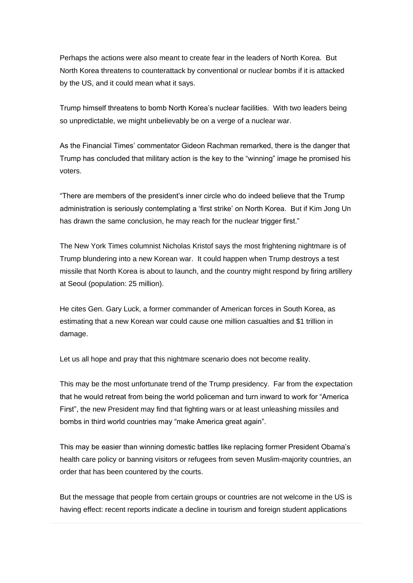Perhaps the actions were also meant to create fear in the leaders of North Korea. But North Korea threatens to counterattack by conventional or nuclear bombs if it is attacked by the US, and it could mean what it says.

Trump himself threatens to bomb North Korea's nuclear facilities. With two leaders being so unpredictable, we might unbelievably be on a verge of a nuclear war.

As the Financial Times' commentator Gideon Rachman remarked, there is the danger that Trump has concluded that military action is the key to the "winning" image he promised his voters.

"There are members of the president's inner circle who do indeed believe that the Trump administration is seriously contemplating a 'first strike' on North Korea. But if Kim Jong Un has drawn the same conclusion, he may reach for the nuclear trigger first."

The New York Times columnist Nicholas Kristof says the most frightening nightmare is of Trump blundering into a new Korean war. It could happen when Trump destroys a test missile that North Korea is about to launch, and the country might respond by firing artillery at Seoul (population: 25 million).

He cites Gen. Gary Luck, a former commander of American forces in South Korea, as estimating that a new Korean war could cause one million casualties and \$1 trillion in damage.

Let us all hope and pray that this nightmare scenario does not become reality.

This may be the most unfortunate trend of the Trump presidency. Far from the expectation that he would retreat from being the world policeman and turn inward to work for "America First", the new President may find that fighting wars or at least unleashing missiles and bombs in third world countries may "make America great again".

This may be easier than winning domestic battles like replacing former President Obama's health care policy or banning visitors or refugees from seven Muslim-majority countries, an order that has been countered by the courts.

But the message that people from certain groups or countries are not welcome in the US is having effect: recent reports indicate a decline in tourism and foreign student applications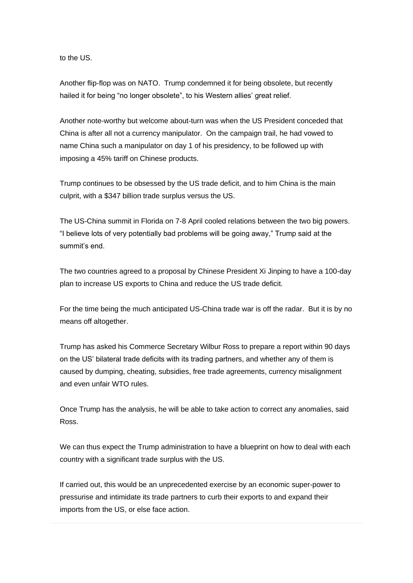to the US.

Another flip-flop was on NATO. Trump condemned it for being obsolete, but recently hailed it for being "no longer obsolete", to his Western allies' great relief.

Another note-worthy but welcome about-turn was when the US President conceded that China is after all not a currency manipulator. On the campaign trail, he had vowed to name China such a manipulator on day 1 of his presidency, to be followed up with imposing a 45% tariff on Chinese products.

Trump continues to be obsessed by the US trade deficit, and to him China is the main culprit, with a \$347 billion trade surplus versus the US.

The US-China summit in Florida on 7-8 April cooled relations between the two big powers. "I believe lots of very potentially bad problems will be going away," Trump said at the summit's end.

The two countries agreed to a proposal by Chinese President Xi Jinping to have a 100-day plan to increase US exports to China and reduce the US trade deficit.

For the time being the much anticipated US-China trade war is off the radar. But it is by no means off altogether.

Trump has asked his Commerce Secretary Wilbur Ross to prepare a report within 90 days on the US' bilateral trade deficits with its trading partners, and whether any of them is caused by dumping, cheating, subsidies, free trade agreements, currency misalignment and even unfair WTO rules.

Once Trump has the analysis, he will be able to take action to correct any anomalies, said Ross.

We can thus expect the Trump administration to have a blueprint on how to deal with each country with a significant trade surplus with the US.

If carried out, this would be an unprecedented exercise by an economic super-power to pressurise and intimidate its trade partners to curb their exports to and expand their imports from the US, or else face action.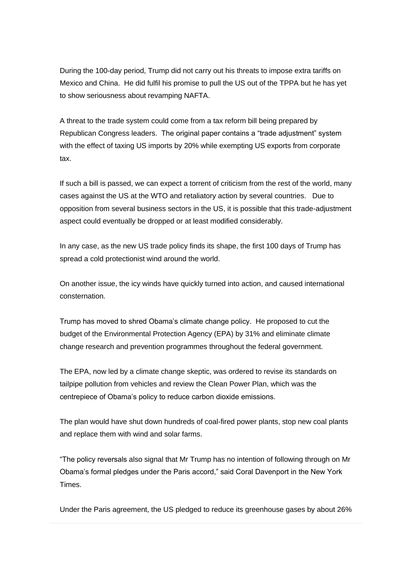During the 100-day period, Trump did not carry out his threats to impose extra tariffs on Mexico and China. He did fulfil his promise to pull the US out of the TPPA but he has yet to show seriousness about revamping NAFTA.

A threat to the trade system could come from a tax reform bill being prepared by Republican Congress leaders. The original paper contains a "trade adjustment" system with the effect of taxing US imports by 20% while exempting US exports from corporate tax.

If such a bill is passed, we can expect a torrent of criticism from the rest of the world, many cases against the US at the WTO and retaliatory action by several countries. Due to opposition from several business sectors in the US, it is possible that this trade-adjustment aspect could eventually be dropped or at least modified considerably.

In any case, as the new US trade policy finds its shape, the first 100 days of Trump has spread a cold protectionist wind around the world.

On another issue, the icy winds have quickly turned into action, and caused international consternation.

Trump has moved to shred Obama's climate change policy. He proposed to cut the budget of the Environmental Protection Agency (EPA) by 31% and eliminate climate change research and prevention programmes throughout the federal government.

The EPA, now led by a climate change skeptic, was ordered to revise its standards on tailpipe pollution from vehicles and review the Clean Power Plan, which was the centrepiece of Obama's policy to reduce carbon dioxide emissions.

The plan would have shut down hundreds of coal-fired power plants, stop new coal plants and replace them with wind and solar farms.

"The policy reversals also signal that Mr Trump has no intention of following through on Mr Obama's formal pledges under the Paris accord," said Coral Davenport in the New York **Times** 

Under the Paris agreement, the US pledged to reduce its greenhouse gases by about 26%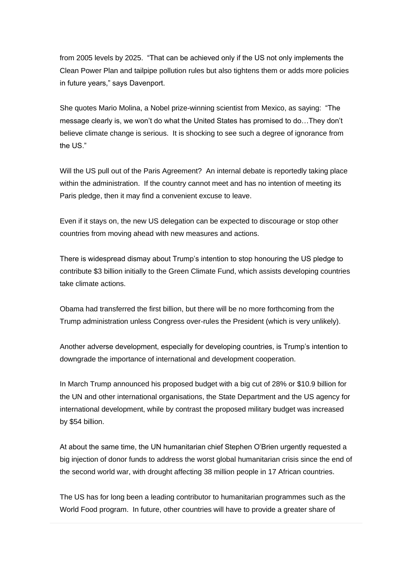from 2005 levels by 2025. "That can be achieved only if the US not only implements the Clean Power Plan and tailpipe pollution rules but also tightens them or adds more policies in future years," says Davenport.

She quotes Mario Molina, a Nobel prize-winning scientist from Mexico, as saying: "The message clearly is, we won't do what the United States has promised to do…They don't believe climate change is serious. It is shocking to see such a degree of ignorance from the US."

Will the US pull out of the Paris Agreement? An internal debate is reportedly taking place within the administration. If the country cannot meet and has no intention of meeting its Paris pledge, then it may find a convenient excuse to leave.

Even if it stays on, the new US delegation can be expected to discourage or stop other countries from moving ahead with new measures and actions.

There is widespread dismay about Trump's intention to stop honouring the US pledge to contribute \$3 billion initially to the Green Climate Fund, which assists developing countries take climate actions.

Obama had transferred the first billion, but there will be no more forthcoming from the Trump administration unless Congress over-rules the President (which is very unlikely).

Another adverse development, especially for developing countries, is Trump's intention to downgrade the importance of international and development cooperation.

In March Trump announced his proposed budget with a big cut of 28% or \$10.9 billion for the UN and other international organisations, the State Department and the US agency for international development, while by contrast the proposed military budget was increased by \$54 billion.

At about the same time, the UN humanitarian chief Stephen O'Brien urgently requested a big injection of donor funds to address the worst global humanitarian crisis since the end of the second world war, with drought affecting 38 million people in 17 African countries.

The US has for long been a leading contributor to humanitarian programmes such as the World Food program. In future, other countries will have to provide a greater share of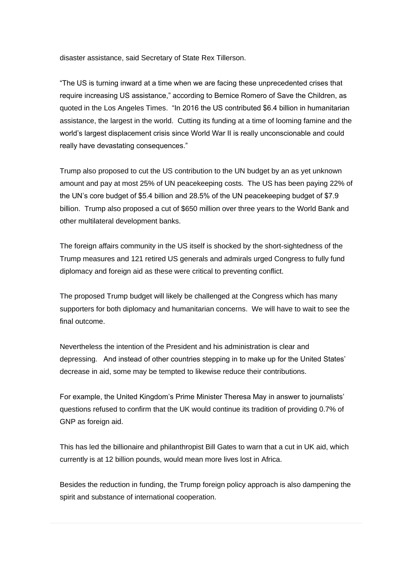disaster assistance, said Secretary of State Rex Tillerson.

"The US is turning inward at a time when we are facing these unprecedented crises that require increasing US assistance," according to Bernice Romero of Save the Children, as quoted in the Los Angeles Times. "In 2016 the US contributed \$6.4 billion in humanitarian assistance, the largest in the world. Cutting its funding at a time of looming famine and the world's largest displacement crisis since World War II is really unconscionable and could really have devastating consequences."

Trump also proposed to cut the US contribution to the UN budget by an as yet unknown amount and pay at most 25% of UN peacekeeping costs. The US has been paying 22% of the UN's core budget of \$5.4 billion and 28.5% of the UN peacekeeping budget of \$7.9 billion. Trump also proposed a cut of \$650 million over three years to the World Bank and other multilateral development banks.

The foreign affairs community in the US itself is shocked by the short-sightedness of the Trump measures and 121 retired US generals and admirals urged Congress to fully fund diplomacy and foreign aid as these were critical to preventing conflict.

The proposed Trump budget will likely be challenged at the Congress which has many supporters for both diplomacy and humanitarian concerns. We will have to wait to see the final outcome.

Nevertheless the intention of the President and his administration is clear and depressing. And instead of other countries stepping in to make up for the United States' decrease in aid, some may be tempted to likewise reduce their contributions.

For example, the United Kingdom's Prime Minister Theresa May in answer to journalists' questions refused to confirm that the UK would continue its tradition of providing 0.7% of GNP as foreign aid.

This has led the billionaire and philanthropist Bill Gates to warn that a cut in UK aid, which currently is at 12 billion pounds, would mean more lives lost in Africa.

Besides the reduction in funding, the Trump foreign policy approach is also dampening the spirit and substance of international cooperation.